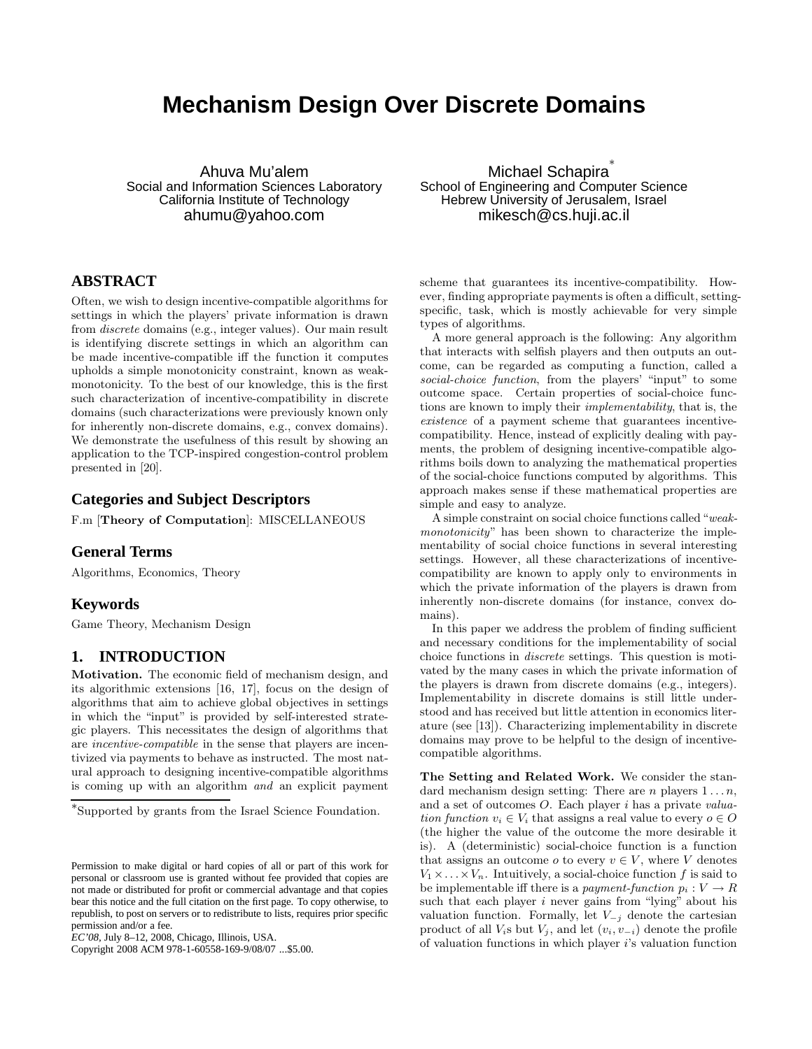# **Mechanism Design Over Discrete Domains**

Ahuva Mu'alem Social and Information Sciences Laboratory California Institute of Technology ahumu@yahoo.com

# **ABSTRACT**

Often, we wish to design incentive-compatible algorithms for settings in which the players' private information is drawn from discrete domains (e.g., integer values). Our main result is identifying discrete settings in which an algorithm can be made incentive-compatible iff the function it computes upholds a simple monotonicity constraint, known as weakmonotonicity. To the best of our knowledge, this is the first such characterization of incentive-compatibility in discrete domains (such characterizations were previously known only for inherently non-discrete domains, e.g., convex domains). We demonstrate the usefulness of this result by showing an application to the TCP-inspired congestion-control problem presented in [20].

# **Categories and Subject Descriptors**

F.m [Theory of Computation]: MISCELLANEOUS

### **General Terms**

Algorithms, Economics, Theory

### **Keywords**

Game Theory, Mechanism Design

# **1. INTRODUCTION**

Motivation. The economic field of mechanism design, and its algorithmic extensions [16, 17], focus on the design of algorithms that aim to achieve global objectives in settings in which the "input" is provided by self-interested strategic players. This necessitates the design of algorithms that are incentive-compatible in the sense that players are incentivized via payments to behave as instructed. The most natural approach to designing incentive-compatible algorithms is coming up with an algorithm and an explicit payment

Copyright 2008 ACM 978-1-60558-169-9/08/07 ...\$5.00.

Michael Schapira<sup>\*</sup> School of Engineering and Computer Science Hebrew University of Jerusalem, Israel mikesch@cs.huji.ac.il

scheme that guarantees its incentive-compatibility. However, finding appropriate payments is often a difficult, settingspecific, task, which is mostly achievable for very simple types of algorithms.

A more general approach is the following: Any algorithm that interacts with selfish players and then outputs an outcome, can be regarded as computing a function, called a social-choice function, from the players' "input" to some outcome space. Certain properties of social-choice functions are known to imply their implementability, that is, the existence of a payment scheme that guarantees incentivecompatibility. Hence, instead of explicitly dealing with payments, the problem of designing incentive-compatible algorithms boils down to analyzing the mathematical properties of the social-choice functions computed by algorithms. This approach makes sense if these mathematical properties are simple and easy to analyze.

A simple constraint on social choice functions called "weakmonotonicity" has been shown to characterize the implementability of social choice functions in several interesting settings. However, all these characterizations of incentivecompatibility are known to apply only to environments in which the private information of the players is drawn from inherently non-discrete domains (for instance, convex domains).

In this paper we address the problem of finding sufficient and necessary conditions for the implementability of social choice functions in discrete settings. This question is motivated by the many cases in which the private information of the players is drawn from discrete domains (e.g., integers). Implementability in discrete domains is still little understood and has received but little attention in economics literature (see [13]). Characterizing implementability in discrete domains may prove to be helpful to the design of incentivecompatible algorithms.

The Setting and Related Work. We consider the standard mechanism design setting: There are *n* players  $1 \ldots n$ , and a set of outcomes O. Each player i has a private valuation function  $v_i \in V_i$  that assigns a real value to every  $o \in O$ (the higher the value of the outcome the more desirable it is). A (deterministic) social-choice function is a function that assigns an outcome  $o$  to every  $v \in V$ , where V denotes  $V_1 \times \ldots \times V_n$ . Intuitively, a social-choice function f is said to be implementable iff there is a payment-function  $p_i : V \to R$ such that each player  $i$  never gains from "lying" about his valuation function. Formally, let  $V_{-j}$  denote the cartesian product of all  $V_i$ s but  $V_j$ , and let  $(v_i, v_{-i})$  denote the profile of valuation functions in which player  $i$ 's valuation function

<sup>∗</sup> Supported by grants from the Israel Science Foundation.

Permission to make digital or hard copies of all or part of this work for personal or classroom use is granted without fee provided that copies are not made or distributed for profit or commercial advantage and that copies bear this notice and the full citation on the first page. To copy otherwise, to republish, to post on servers or to redistribute to lists, requires prior specific permission and/or a fee.

*EC'08,* July 8–12, 2008, Chicago, Illinois, USA.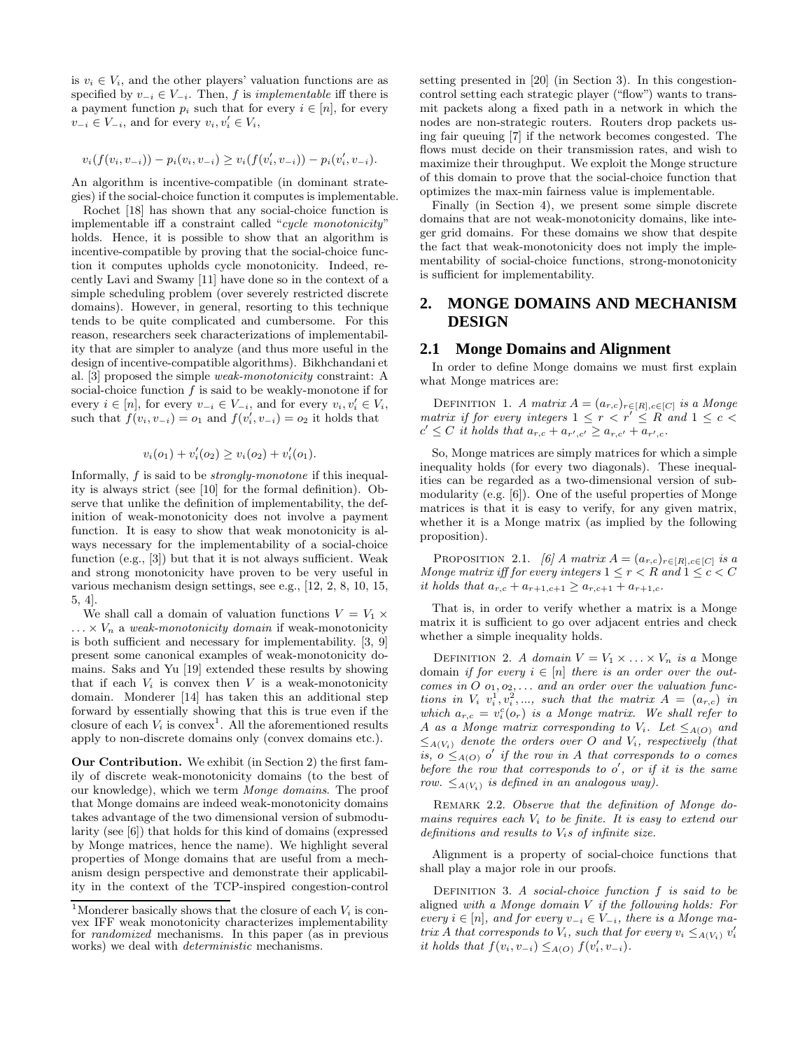is  $v_i \in V_i$ , and the other players' valuation functions are as specified by  $v_{-i} \in V_{-i}$ . Then, f is *implementable* iff there is a payment function  $p_i$  such that for every  $i \in [n]$ , for every  $v_{-i} \in V_{-i}$ , and for every  $v_i, v'_i \in V_i$ ,

$$
v_i(f(v_i, v_{-i})) - p_i(v_i, v_{-i}) \ge v_i(f(v'_i, v_{-i})) - p_i(v'_i, v_{-i}).
$$

An algorithm is incentive-compatible (in dominant strategies) if the social-choice function it computes is implementable.

Rochet [18] has shown that any social-choice function is implementable iff a constraint called "cycle monotonicity" holds. Hence, it is possible to show that an algorithm is incentive-compatible by proving that the social-choice function it computes upholds cycle monotonicity. Indeed, recently Lavi and Swamy [11] have done so in the context of a simple scheduling problem (over severely restricted discrete domains). However, in general, resorting to this technique tends to be quite complicated and cumbersome. For this reason, researchers seek characterizations of implementability that are simpler to analyze (and thus more useful in the design of incentive-compatible algorithms). Bikhchandani et al. [3] proposed the simple weak-monotonicity constraint: A social-choice function  $f$  is said to be weakly-monotone if for every  $i \in [n]$ , for every  $v_{-i} \in V_{-i}$ , and for every  $v_i, v'_i \in V_i$ , such that  $f(v_i, v_{-i}) = o_1$  and  $f(v'_i, v_{-i}) = o_2$  it holds that

$$
v_i(o_1) + v'_i(o_2) \ge v_i(o_2) + v'_i(o_1).
$$

Informally, f is said to be strongly-monotone if this inequality is always strict (see [10] for the formal definition). Observe that unlike the definition of implementability, the definition of weak-monotonicity does not involve a payment function. It is easy to show that weak monotonicity is always necessary for the implementability of a social-choice function (e.g., [3]) but that it is not always sufficient. Weak and strong monotonicity have proven to be very useful in various mechanism design settings, see e.g., [12, 2, 8, 10, 15, 5, 4].

We shall call a domain of valuation functions  $V = V_1 \times$  $\ldots \times V_n$  a weak-monotonicity domain if weak-monotonicity is both sufficient and necessary for implementability. [3, 9] present some canonical examples of weak-monotonicity domains. Saks and Yu [19] extended these results by showing that if each  $V_i$  is convex then  $V$  is a weak-monotonicity domain. Monderer [14] has taken this an additional step forward by essentially showing that this is true even if the closure of each  $V_i$  is convex<sup>1</sup>. All the aforementioned results apply to non-discrete domains only (convex domains etc.).

Our Contribution. We exhibit (in Section 2) the first family of discrete weak-monotonicity domains (to the best of our knowledge), which we term Monge domains. The proof that Monge domains are indeed weak-monotonicity domains takes advantage of the two dimensional version of submodularity (see [6]) that holds for this kind of domains (expressed by Monge matrices, hence the name). We highlight several properties of Monge domains that are useful from a mechanism design perspective and demonstrate their applicability in the context of the TCP-inspired congestion-control setting presented in [20] (in Section 3). In this congestioncontrol setting each strategic player ("flow") wants to transmit packets along a fixed path in a network in which the nodes are non-strategic routers. Routers drop packets using fair queuing [7] if the network becomes congested. The flows must decide on their transmission rates, and wish to maximize their throughput. We exploit the Monge structure of this domain to prove that the social-choice function that optimizes the max-min fairness value is implementable.

Finally (in Section 4), we present some simple discrete domains that are not weak-monotonicity domains, like integer grid domains. For these domains we show that despite the fact that weak-monotonicity does not imply the implementability of social-choice functions, strong-monotonicity is sufficient for implementability.

## **2. MONGE DOMAINS AND MECHANISM DESIGN**

### **2.1 Monge Domains and Alignment**

In order to define Monge domains we must first explain what Monge matrices are:

DEFINITION 1. A matrix  $A = (a_{r,c})_{r \in [R], c \in [C]}$  is a Monge matrix if for every integers  $1 \leq r < r' \leq R$  and  $1 \leq c <$  $c' \leq C$  it holds that  $a_{r,c} + a_{r',c'} \geq a_{r,c'} + a_{r',c}$ .

So, Monge matrices are simply matrices for which a simple inequality holds (for every two diagonals). These inequalities can be regarded as a two-dimensional version of submodularity (e.g. [6]). One of the useful properties of Monge matrices is that it is easy to verify, for any given matrix, whether it is a Monge matrix (as implied by the following proposition).

PROPOSITION 2.1. [6] A matrix  $A = (a_{r,c})_{r \in [R], c \in [C]}$  is a Monge matrix iff for every integers  $1 \leq r < R$  and  $1 \leq c < C$ it holds that  $a_{r,c} + a_{r+1,c+1} \ge a_{r,c+1} + a_{r+1,c}$ .

That is, in order to verify whether a matrix is a Monge matrix it is sufficient to go over adjacent entries and check whether a simple inequality holds.

DEFINITION 2. A domain  $V = V_1 \times \ldots \times V_n$  is a Monge domain if for every  $i \in [n]$  there is an order over the outcomes in  $O$   $o_1, o_2, \ldots$  and an order over the valuation functions in  $V_i$   $v_i^1, v_i^2, \ldots$ , such that the matrix  $A = (a_{r,c})$  in which  $a_{r,c} = v_i^c(o_r)$  is a Monge matrix. We shall refer to A as a Monge matrix corresponding to  $V_i$ . Let  $\leq_{A(O)}$  and  $\leq_{A(V_i)}$  denote the orders over O and  $V_i$ , respectively (that is,  $o \leq_{A(O)} o'$  if the row in A that corresponds to o comes before the row that corresponds to  $o'$ , or if it is the same row.  $\leq_{A(V_i)}$  is defined in an analogous way).

REMARK 2.2. Observe that the definition of Monge domains requires each  $V_i$  to be finite. It is easy to extend our definitions and results to  $V_i$ s of infinite size.

Alignment is a property of social-choice functions that shall play a major role in our proofs.

DEFINITION 3. A social-choice function  $f$  is said to be aligned with a Monge domain  $V$  if the following holds: For every  $i \in [n]$ , and for every  $v_{-i} \in V_{-i}$ , there is a Monge matrix A that corresponds to  $V_i$ , such that for every  $v_i \leq_{A(V_i)} v'_i$ it holds that  $f(v_i, v_{-i}) \leq_{A(O)} f(v'_i, v_{-i}).$ 

<sup>&</sup>lt;sup>1</sup>Monderer basically shows that the closure of each  $V_i$  is convex IFF weak monotonicity characterizes implementability for *randomized* mechanisms. In this paper (as in previous works) we deal with *deterministic* mechanisms.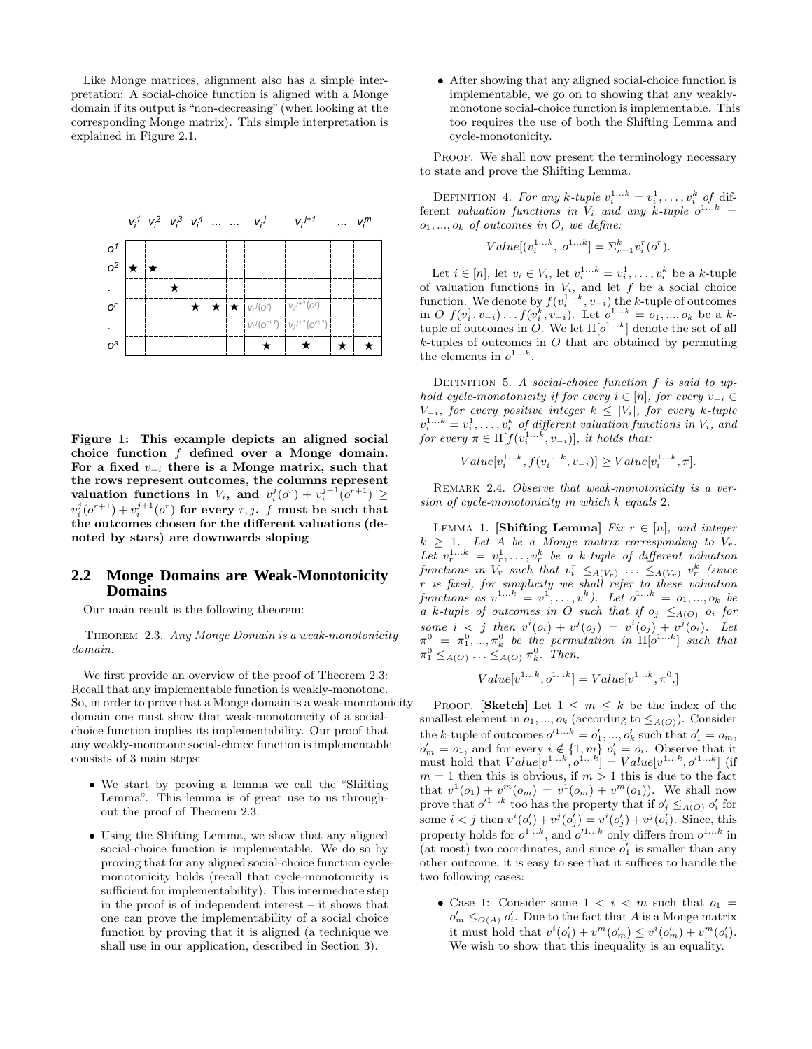Like Monge matrices, alignment also has a simple interpretation: A social-choice function is aligned with a Monge domain if its output is "non-decreasing" (when looking at the corresponding Monge matrix). This simple interpretation is explained in Figure 2.1.



Figure 1: This example depicts an aligned social choice function  $f$  defined over a Monge domain. For a fixed  $v_{-i}$  there is a Monge matrix, such that the rows represent outcomes, the columns represent valuation functions in  $V_i$ , and  $v_i^j(o^r) + v_i^{j+1}(o^{r+1}) \geq$  $v_i^j(o^{r+1}) + v_i^{j+1}(o^r)$  for every  $r, j$ .  $f$  must be such that the outcomes chosen for the different valuations (denoted by stars) are downwards sloping

### **2.2 Monge Domains are Weak-Monotonicity Domains**

Our main result is the following theorem:

THEOREM 2.3. Any Monge Domain is a weak-monotonicity domain.

We first provide an overview of the proof of Theorem 2.3: Recall that any implementable function is weakly-monotone. So, in order to prove that a Monge domain is a weak-monotonicity domain one must show that weak-monotonicity of a socialchoice function implies its implementability. Our proof that any weakly-monotone social-choice function is implementable consists of 3 main steps:

- We start by proving a lemma we call the "Shifting Lemma". This lemma is of great use to us throughout the proof of Theorem 2.3.
- Using the Shifting Lemma, we show that any aligned social-choice function is implementable. We do so by proving that for any aligned social-choice function cyclemonotonicity holds (recall that cycle-monotonicity is sufficient for implementability). This intermediate step in the proof is of independent interest – it shows that one can prove the implementability of a social choice function by proving that it is aligned (a technique we shall use in our application, described in Section 3).

• After showing that any aligned social-choice function is implementable, we go on to showing that any weaklymonotone social-choice function is implementable. This too requires the use of both the Shifting Lemma and cycle-monotonicity.

PROOF. We shall now present the terminology necessary to state and prove the Shifting Lemma.

DEFINITION 4. For any k-tuple  $v_i^{1...k} = v_i^1, \ldots, v_i^k$  of different valuation functions in  $V_i$  and any k-tuple  $o^{1...k}$  =  $o_1, ..., o_k$  of outcomes in O, we define:

$$
Value[(v_i^{1...k}, o^{1...k}] = \sum_{r=1}^{k} v_i^r(o^r).
$$

Let  $i \in [n]$ , let  $v_i \in V_i$ , let  $v_i^{1...k} = v_i^1, \ldots, v_i^k$  be a k-tuple of valuation functions in  $V_i$ , and let f be a social choice function. We denote by  $f(v_i^{1...k}, v_{-i})$  the k-tuple of outcomes in  $O f(v_i^1, v_{-i}) \dots f(v_i^k, v_{-i})$ . Let  $o^{1...k} = o_1, ..., o_k$  be a ktuple of outcomes in O. We let  $\Pi[o^{1...k}]$  denote the set of all  $k$ -tuples of outcomes in  $O$  that are obtained by permuting the elements in  $o^{1...k}$ .

DEFINITION 5. A social-choice function  $f$  is said to uphold cycle-monotonicity if for every  $i \in [n]$ , for every  $v_{-i} \in$  $V_{-i}$ , for every positive integer  $k \leq |V_i|$ , for every k-tuple  $v_i^{1...k} = v_i^1, \ldots, v_i^k$  of different valuation functions in  $V_i$ , and for every  $\pi \in \Pi[f(v_i^{1...k}, v_{-i})],$  it holds that:

$$
Value[v_i^{1...k}, f(v_i^{1...k}, v_{-i})] \geq Value[v_i^{1...k}, \pi].
$$

REMARK 2.4. Observe that weak-monotonicity is a version of cycle-monotonicity in which k equals 2.

LEMMA 1. [Shifting Lemma] Fix  $r \in [n]$ , and integer  $k \geq 1$ . Let A be a Monge matrix corresponding to  $V_r$ . Let  $v_r^{1...k} = v_r^1, \ldots, v_r^k$  be a k-tuple of different valuation functions in  $V_r$  such that  $v_i^r \leq_{A(V_r)} \ldots \leq_{A(V_r)} v_r^k$  (since r is fixed, for simplicity we shall refer to these valuation functions as  $v^{1...k} = v^1, \ldots, v^k$ ). Let  $o^{1...k} = o_1, \ldots, o_k$  be a k-tuple of outcomes in O such that if  $o_j \leq_{A(O)} o_i$  for some  $i < j$  then  $v^{i}(o_i) + v^{j}(o_j) = v^{i}(o_j) + v^{j}(o_i)$ . Let  $\pi^0 = \pi^0_1, ..., \pi^0_k$  be the permutation in  $\Pi[o^{1...k}]$  such that  $\pi_1^0 \leq_{A(O)} \ldots \leq_{A(O)} \pi_k^0$ . Then,

$$
Value[v^{1...k}, o^{1...k}] = Value[v^{1...k}, \pi^0.]
$$

PROOF. [Sketch] Let  $1 \leq m \leq k$  be the index of the smallest element in  $o_1, ..., o_k$  (according to  $\leq_{A(O)}$ ). Consider the k-tuple of outcomes  $o'^{1...k} = o'_1, ..., o'_k$  such that  $o'_1 = o_m$ ,  $o'_m = o_1$ , and for every  $i \notin \{1, m\}$   $o'_i = o_i$ . Observe that it must hold that  $Value[v^{1...k}, o^{1...k}] = Value[v^{1...k}, o'^{1...k}]$  (if  $m = 1$  then this is obvious, if  $m > 1$  this is due to the fact that  $v^1(o_1) + v^m(o_m) = v^1(o_m) + v^m(o_1)$ . We shall now prove that  $o'^{1...k}$  too has the property that if  $o'_j \leq_{A(O)} o'_i$  for some  $i < j$  then  $v^{i}(o'_{i}) + v^{j}(o'_{j}) = v^{i}(o'_{j}) + v^{j}(o'_{i})$ . Since, this property holds for  $o^{1...k}$ , and  $o'^{1...k}$  only differs from  $o^{1...k}$  in (at most) two coordinates, and since  $o'_1$  is smaller than any other outcome, it is easy to see that it suffices to handle the two following cases:

• Case 1: Consider some  $1 \lt i \lt m$  such that  $o_1 =$  $o'_m \leq_{O(A)} o'_i$ . Due to the fact that A is a Monge matrix it must hold that  $v^{i}(o'_{i}) + v^{m}(o'_{m}) \leq v^{i}(o'_{m}) + v^{m}(o'_{i}).$ We wish to show that this inequality is an equality.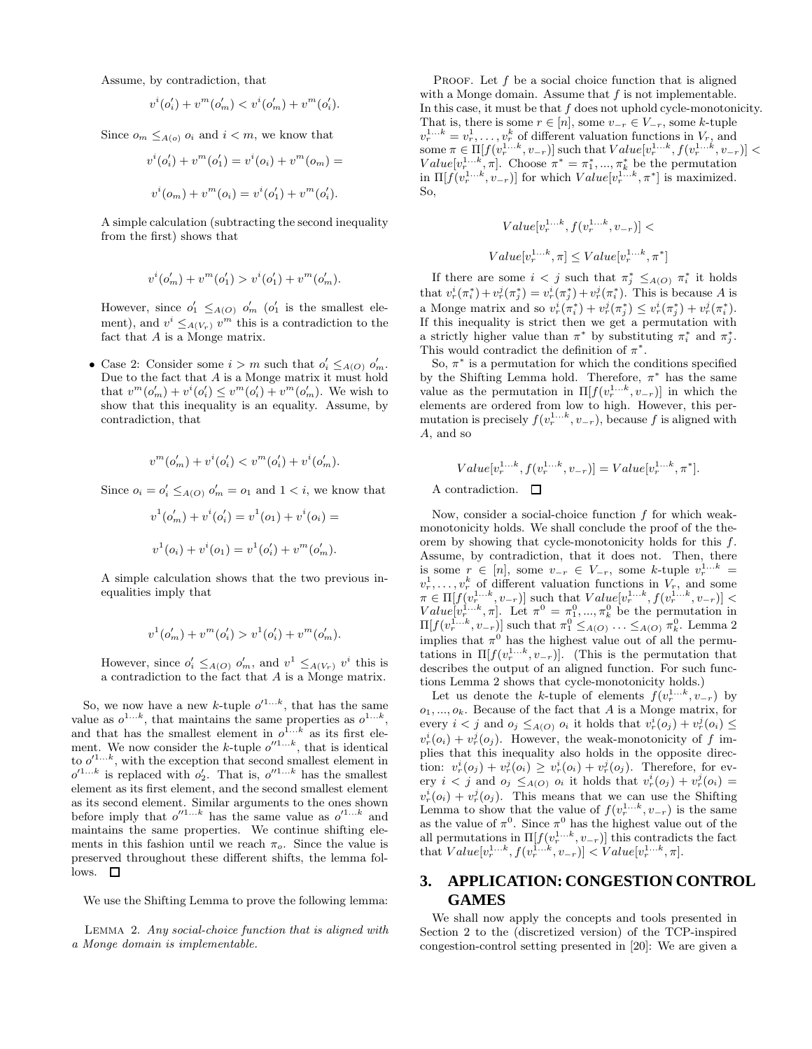Assume, by contradiction, that

$$
v^{i}(o'_{i}) + v^{m}(o'_{m}) < v^{i}(o'_{m}) + v^{m}(o'_{i}).
$$

Since  $o_m \leq_{A(o)} o_i$  and  $i < m$ , we know that

$$
v^{i}(o'_{i}) + v^{m}(o'_{1}) = v^{i}(o_{i}) + v^{m}(o_{m}) =
$$
  

$$
v^{i}(o_{m}) + v^{m}(o_{i}) = v^{i}(o'_{1}) + v^{m}(o'_{i}).
$$

A simple calculation (subtracting the second inequality from the first) shows that

$$
v^{i}(o'_{m}) + v^{m}(o'_{1}) > v^{i}(o'_{1}) + v^{m}(o'_{m}).
$$

However, since  $o'_1 \leq_{A(O)} o'_m$  ( $o'_1$  is the smallest element), and  $v^i \leq_{A(V_r)} v^m$  this is a contradiction to the fact that A is a Monge matrix.

• Case 2: Consider some  $i > m$  such that  $o'_i \leq_{A(O)} o'_m$ . Due to the fact that A is a Monge matrix it must hold that  $v^m(o'_m) + v^i(o'_i) \le v^m(o'_i) + v^m(o'_m)$ . We wish to show that this inequality is an equality. Assume, by contradiction, that

$$
v^{m}(o'_{m}) + v^{i}(o'_{i}) < v^{m}(o'_{i}) + v^{i}(o'_{m}).
$$

Since  $o_i = o'_i \leq_{A(O)} o'_m = o_1$  and  $1 < i$ , we know that

$$
v^{1}(o'_{m}) + v^{i}(o'_{i}) = v^{1}(o_{1}) + v^{i}(o_{i}) =
$$
  

$$
v^{1}(o_{i}) + v^{i}(o_{1}) = v^{1}(o'_{i}) + v^{m}(o'_{m}).
$$

A simple calculation shows that the two previous inequalities imply that

$$
v^{1}(o'_{m}) + v^{m}(o'_{i}) > v^{1}(o'_{i}) + v^{m}(o'_{m}).
$$

However, since  $o'_i \leq_{A(O)} o'_m$ , and  $v^1 \leq_{A(V_r)} v^i$  this is a contradiction to the fact that A is a Monge matrix.

So, we now have a new k-tuple  $o'^{1...k}$ , that has the same value as  $o^{1...k}$ , that maintains the same properties as  $o^{1...k}$ , and that has the smallest element in  $o^{\overline{1}...k}$  as its first element. We now consider the k-tuple  $o''^{1...k}$ , that is identical to  $o'^{1...k}$ , with the exception that second smallest element in  $o'^{1...k}$  is replaced with  $o'_2$ . That is,  $o''^{1...k}$  has the smallest element as its first element, and the second smallest element as its second element. Similar arguments to the ones shown before imply that  $o''^{1...k}$  has the same value as  $o'^{1...k}$  and maintains the same properties. We continue shifting elements in this fashion until we reach  $\pi_o$ . Since the value is preserved throughout these different shifts, the lemma fol $lows.$   $\Box$ 

We use the Shifting Lemma to prove the following lemma:

Lemma 2. Any social-choice function that is aligned with a Monge domain is implementable.

PROOF. Let  $f$  be a social choice function that is aligned with a Monge domain. Assume that  $f$  is not implementable. In this case, it must be that  $f$  does not uphold cycle-monotonicity. That is, there is some  $r \in [n]$ , some  $v_{-r} \in V_{-r}$ , some k-tuple  $v_r^{1...k} = v_r^1, \ldots, v_r^k$  of different valuation functions in  $V_r$ , and some  $\pi \in \Pi[f(v_r^{1...k}, v_{-r})]$  such that  $Value[v_r^{1...k}, f(v_r^{1...k}, v_{-r})]$  <  $Value[v_r^{1...k}, \pi]$ . Choose  $\pi^* = \pi_1^*, ..., \pi_k^*$  be the permutation in  $\Pi[f(v_r^{1...k}, v_{-r})]$  for which  $Value[v_r^{1...k}, \pi^*]$  is maximized. So,

$$
Value[v_r^{1...k}, f(v_r^{1...k}, v_{-r})] <
$$

$$
Value[v_r^{1...k}, \pi] \leq Value[v_r^{1...k}, \pi^*]
$$

If there are some  $i < j$  such that  $\pi_j^* \leq_{A(O)} \pi_i^*$  it holds that  $v_r^i(\pi_i^*) + v_r^j(\pi_j^*) = v_r^i(\pi_j^*) + v_r^j(\pi_i^*)$ . This is because A is a Monge matrix and so  $v_r^i(\pi_i^*) + v_r^j(\pi_j^*) \leq v_r^i(\pi_j^*) + v_r^j(\pi_i^*).$ If this inequality is strict then we get a permutation with a strictly higher value than  $\pi^*$  by substituting  $\pi_i^*$  and  $\pi_j^*$ . This would contradict the definition of  $\pi^*$ .

So,  $\pi^*$  is a permutation for which the conditions specified by the Shifting Lemma hold. Therefore,  $\pi^*$  has the same value as the permutation in  $\Pi[f(v_r^{1...k}, v_{-r})]$  in which the elements are ordered from low to high. However, this permutation is precisely  $f(v_r^{1...k}, v_{-r})$ , because f is aligned with A, and so

$$
Value[v_r^{1...k}, f(v_r^{1...k}, v_{-r})] = Value[v_r^{1...k}, \pi^*].
$$

A contradiction.  $\Box$ 

Now, consider a social-choice function  $f$  for which weakmonotonicity holds. We shall conclude the proof of the theorem by showing that cycle-monotonicity holds for this f. Assume, by contradiction, that it does not. Then, there is some  $r \in [n]$ , some  $v_{-r} \in V_{-r}$ , some k-tuple  $v_r^{1...k} =$  $v_r^1, \ldots, v_r^k$  of different valuation functions in  $V_r$ , and some  $\pi \in \prod[f(v_r^{1...k}, v_{-r})]$  such that  $Value[v_r^{1...k}, f(v_r^{1...k}, v_{-r})]$  $Value[v_r^{1...k}, \pi]$ . Let  $\pi^0 = \pi_1^0, ..., \pi_k^0$  be the permutation in  $\Pi[f(v_r^{1...k}, v_{-r})]$  such that  $\pi_1^0 \leq_{A(O)} \ldots \leq_{A(O)} \pi_k^0$ . Lemma 2 implies that  $\pi^0$  has the highest value out of all the permutations in  $\Pi[f(v_r^{1...k}, v_{-r})]$ . (This is the permutation that describes the output of an aligned function. For such functions Lemma 2 shows that cycle-monotonicity holds.)

Let us denote the k-tuple of elements  $f(v_r^{1...k}, v_{-r})$  by  $o_1, ..., o_k$ . Because of the fact that A is a Monge matrix, for every  $i < j$  and  $o_j \leq_{A(O)} o_i$  it holds that  $v_r^i(o_j) + v_r^j(o_i) \leq$  $v_r^i(o_i) + v_r^j(o_j)$ . However, the weak-monotonicity of f implies that this inequality also holds in the opposite direction:  $v_r^i(o_j) + v_r^j(o_i) \geq v_r^i(o_i) + v_r^j(o_j)$ . Therefore, for every  $i < j$  and  $o_j \leq_{A(O)} o_i$  it holds that  $v_r^i(o_j) + v_r^j(o_i) =$  $v_r^i(o_i) + v_r^j(o_j)$ . This means that we can use the Shifting Lemma to show that the value of  $f(v_r^{1...k}, v_{-r})$  is the same as the value of  $\pi^0$ . Since  $\pi^0$  has the highest value out of the all permutations in  $\Pi[f(v_r^{1...k}, v_{-r})]$  this contradicts the fact that  $Value[v_r^{1...k}, f(v_r^{1...k}, v_{-r})] < Value[v_r^{1...k}, \pi]$ .

# **3. APPLICATION: CONGESTION CONTROL GAMES**

We shall now apply the concepts and tools presented in Section 2 to the (discretized version) of the TCP-inspired congestion-control setting presented in [20]: We are given a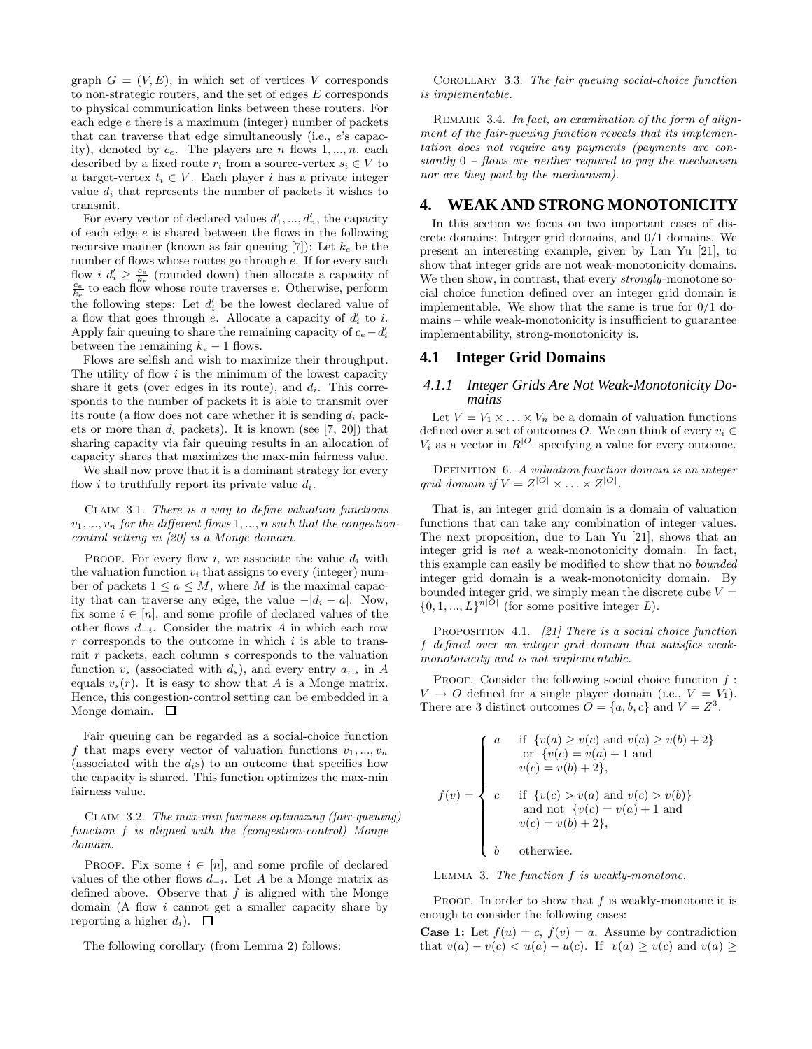graph  $G = (V, E)$ , in which set of vertices V corresponds to non-strategic routers, and the set of edges E corresponds to physical communication links between these routers. For each edge e there is a maximum (integer) number of packets that can traverse that edge simultaneously (i.e., e's capacity), denoted by  $c_e$ . The players are *n* flows 1, ..., *n*, each described by a fixed route  $r_i$  from a source-vertex  $s_i \in V$  to a target-vertex  $t_i \in V$ . Each player i has a private integer value  $d_i$  that represents the number of packets it wishes to transmit.

For every vector of declared values  $d'_1, ..., d'_n$ , the capacity of each edge  $e$  is shared between the flows in the following recursive manner (known as fair queuing [7]): Let  $k_e$  be the number of flows whose routes go through e. If for every such flow *i*  $d'_i \geq \frac{c_e}{k_e}$  (rounded down) then allocate a capacity of  $\frac{c_e}{k_e}$  to each flow whose route traverses *e*. Otherwise, perform the following steps: Let  $d_i'$  be the lowest declared value of a flow that goes through  $e$ . Allocate a capacity of  $d_i'$  to i. Apply fair queuing to share the remaining capacity of  $c_e - d'_i$ between the remaining  $k_e - 1$  flows.

Flows are selfish and wish to maximize their throughput. The utility of flow  $i$  is the minimum of the lowest capacity share it gets (over edges in its route), and  $d_i$ . This corresponds to the number of packets it is able to transmit over its route (a flow does not care whether it is sending  $d_i$  packets or more than  $d_i$  packets). It is known (see [7, 20]) that sharing capacity via fair queuing results in an allocation of capacity shares that maximizes the max-min fairness value.

We shall now prove that it is a dominant strategy for every flow *i* to truthfully report its private value  $d_i$ .

CLAIM 3.1. There is a way to define valuation functions  $v_1, ..., v_n$  for the different flows 1, ..., n such that the congestioncontrol setting in [20] is a Monge domain.

PROOF. For every flow i, we associate the value  $d_i$  with the valuation function  $v_i$  that assigns to every (integer) number of packets  $1 \le a \le M$ , where M is the maximal capacity that can traverse any edge, the value  $-|d_i - a|$ . Now, fix some  $i \in [n]$ , and some profile of declared values of the other flows  $d_{-i}$ . Consider the matrix A in which each row  $r$  corresponds to the outcome in which  $i$  is able to transmit  $r$  packets, each column  $s$  corresponds to the valuation function  $v_s$  (associated with  $d_s$ ), and every entry  $a_{r,s}$  in A equals  $v_s(r)$ . It is easy to show that A is a Monge matrix. Hence, this congestion-control setting can be embedded in a Monge domain.  $\square$ 

Fair queuing can be regarded as a social-choice function f that maps every vector of valuation functions  $v_1, ..., v_n$ (associated with the  $d_i$ s) to an outcome that specifies how the capacity is shared. This function optimizes the max-min fairness value.

Claim 3.2. The max-min fairness optimizing (fair-queuing) function f is aligned with the (congestion-control) Monge domain.

PROOF. Fix some  $i \in [n]$ , and some profile of declared values of the other flows  $d_{-i}$ . Let A be a Monge matrix as defined above. Observe that  $f$  is aligned with the Monge domain (A flow i cannot get a smaller capacity share by reporting a higher  $d_i$ ).  $\Box$ 

The following corollary (from Lemma 2) follows:

COROLLARY 3.3. The fair queuing social-choice function is implementable.

REMARK 3.4. In fact, an examination of the form of alignment of the fair-queuing function reveals that its implementation does not require any payments (payments are constantly  $0$  – flows are neither required to pay the mechanism nor are they paid by the mechanism).

## **4. WEAK AND STRONG MONOTONICITY**

In this section we focus on two important cases of discrete domains: Integer grid domains, and 0/1 domains. We present an interesting example, given by Lan Yu [21], to show that integer grids are not weak-monotonicity domains. We then show, in contrast, that every *strongly*-monotone social choice function defined over an integer grid domain is implementable. We show that the same is true for  $0/1$  domains – while weak-monotonicity is insufficient to guarantee implementability, strong-monotonicity is.

### **4.1 Integer Grid Domains**

### *4.1.1 Integer Grids Are Not Weak-Monotonicity Domains*

Let  $V = V_1 \times \ldots \times V_n$  be a domain of valuation functions defined over a set of outcomes O. We can think of every  $v_i \in$  $V_i$  as a vector in  $R^{|O|}$  specifying a value for every outcome.

DEFINITION 6. A valuation function domain is an integer grid domain if  $V = Z^{|O|} \times \ldots \times Z^{|O|}$ .

That is, an integer grid domain is a domain of valuation functions that can take any combination of integer values. The next proposition, due to Lan Yu [21], shows that an integer grid is not a weak-monotonicity domain. In fact, this example can easily be modified to show that no bounded integer grid domain is a weak-monotonicity domain. By bounded integer grid, we simply mean the discrete cube  $V =$  $\{0, 1, ..., L\}^{n|O|}$  (for some positive integer L).

PROPOSITION 4.1.  $[21]$  There is a social choice function f defined over an integer grid domain that satisfies weakmonotonicity and is not implementable.

PROOF. Consider the following social choice function  $f$ :  $V \rightarrow O$  defined for a single player domain (i.e.,  $V = V_1$ ). There are 3 distinct outcomes  $O = \{a, b, c\}$  and  $V = Z<sup>3</sup>$ .

$$
f(v) = \begin{cases} a & \text{if } \{v(a) \ge v(c) \text{ and } v(a) \ge v(b) + 2\} \\ \text{or } \{v(c) = v(a) + 1 \text{ and } \\ v(c) = v(b) + 2\}, \end{cases}
$$
  

$$
f(v) = \begin{cases} c & \text{if } \{v(c) > v(a) \text{ and } v(c) > v(b)\} \\ \text{and not } \{v(c) = v(a) + 1 \text{ and } \\ v(c) = v(b) + 2\}, \end{cases}
$$
  

$$
b \quad \text{otherwise.}
$$

LEMMA 3. The function  $f$  is weakly-monotone.

PROOF. In order to show that  $f$  is weakly-monotone it is enough to consider the following cases:

**Case 1:** Let  $f(u) = c$ ,  $f(v) = a$ . Assume by contradiction that  $v(a) - v(c) < u(a) - u(c)$ . If  $v(a) \ge v(c)$  and  $v(a) \ge$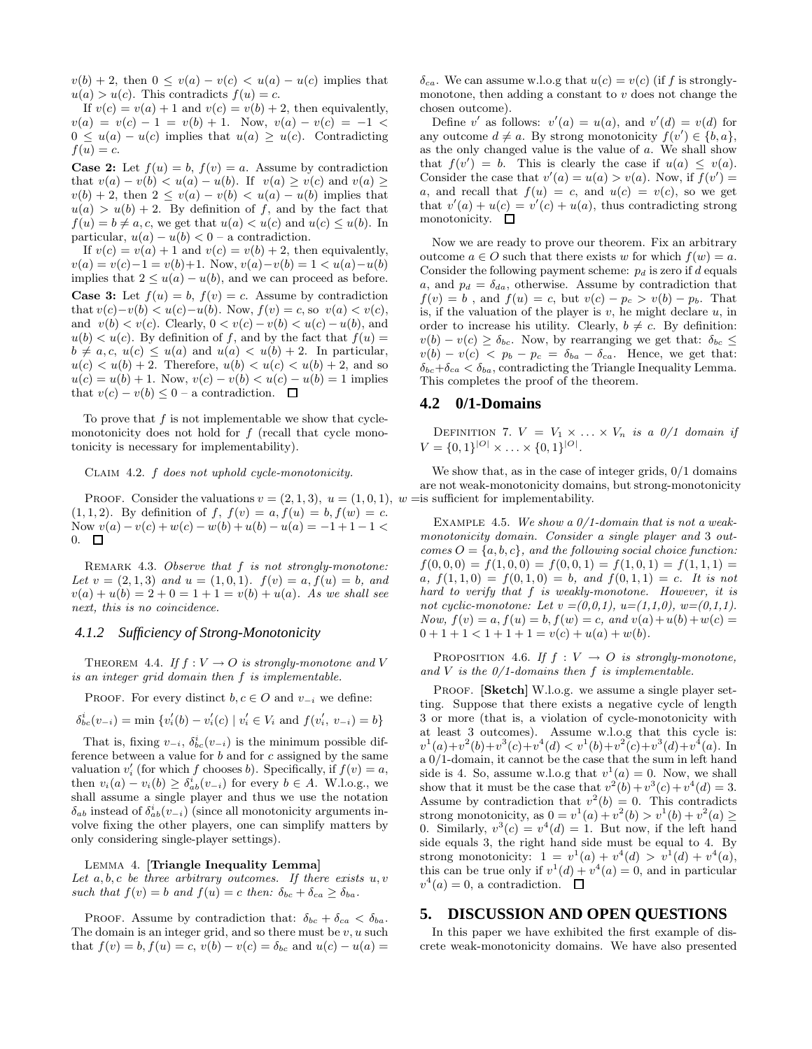$v(b) + 2$ , then  $0 \le v(a) - v(c) < u(a) - u(c)$  implies that  $u(a) > u(c)$ . This contradicts  $f(u) = c$ .

If  $v(c) = v(a) + 1$  and  $v(c) = v(b) + 2$ , then equivalently,  $v(a) = v(c) - 1 = v(b) + 1$ . Now,  $v(a) - v(c) = -1$  $0 \leq u(a) - u(c)$  implies that  $u(a) \geq u(c)$ . Contradicting  $f(u) = c$ .

**Case 2:** Let  $f(u) = b$ ,  $f(v) = a$ . Assume by contradiction that  $v(a) - v(b) < u(a) - u(b)$ . If  $v(a) \ge v(c)$  and  $v(a) \ge$  $v(b) + 2$ , then  $2 \le v(a) - v(b) < u(a) - u(b)$  implies that  $u(a) > u(b) + 2$ . By definition of f, and by the fact that  $f(u) = b \neq a, c$ , we get that  $u(a) < u(c)$  and  $u(c) \leq u(b)$ . In particular,  $u(a) - u(b) < 0$  – a contradiction.

If  $v(c) = v(a) + 1$  and  $v(c) = v(b) + 2$ , then equivalently,  $v(a) = v(c) - 1 = v(b) + 1$ . Now,  $v(a) - v(b) = 1 < u(a) - u(b)$ implies that  $2 \leq u(a) - u(b)$ , and we can proceed as before. **Case 3:** Let  $f(u) = b$ ,  $f(v) = c$ . Assume by contradiction

that  $v(c)-v(b) < u(c)-u(b)$ . Now,  $f(v) = c$ , so  $v(a) < v(c)$ , and  $v(b) < v(c)$ . Clearly,  $0 < v(c) - v(b) < u(c) - u(b)$ , and  $u(b) < u(c)$ . By definition of f, and by the fact that  $f(u) =$  $b \neq a, c, u(c) \leq u(a)$  and  $u(a) < u(b) + 2$ . In particular,  $u(c) < u(b) + 2$ . Therefore,  $u(b) < u(c) < u(b) + 2$ , and so  $u(c) = u(b) + 1$ . Now,  $v(c) - v(b) < u(c) - u(b) = 1$  implies that  $v(c) - v(b) \leq 0$  – a contradiction.  $\Box$ 

To prove that  $f$  is not implementable we show that cyclemonotonicity does not hold for  $f$  (recall that cycle monotonicity is necessary for implementability).

Claim 4.2. f does not uphold cycle-monotonicity.

PROOF. Consider the valuations  $v = (2, 1, 3), u = (1, 0, 1), w =$  is sufficient for implementability.  $(1, 1, 2)$ . By definition of f,  $f(v) = a, f(u) = b, f(w) = c$ . Now  $v(a) - v(c) + w(c) - w(b) + u(b) - u(a) = -1 + 1 - 1 <$  $0. \quad \Box$ 

REMARK 4.3. Observe that f is not strongly-monotone: Let  $v = (2, 1, 3)$  and  $u = (1, 0, 1)$ .  $f(v) = a, f(u) = b$ , and  $v(a) + u(b) = 2 + 0 = 1 + 1 = v(b) + u(a)$ . As we shall see next, this is no coincidence.

#### *4.1.2 Sufficiency of Strong-Monotonicity*

THEOREM 4.4. If  $f: V \to O$  is strongly-monotone and V is an integer grid domain then f is implementable.

PROOF. For every distinct  $b, c \in O$  and  $v_{-i}$  we define:

 $\delta_{bc}^{i}(v_{-i}) = \min \{v'_{i}(b) - v'_{i}(c) \mid v'_{i} \in V_{i} \text{ and } f(v'_{i}, v_{-i}) = b\}$ 

That is, fixing  $v_{-i}$ ,  $\delta_{bc}^{i}(v_{-i})$  is the minimum possible difference between a value for  $b$  and for  $c$  assigned by the same valuation  $v'_i$  (for which f chooses b). Specifically, if  $f(v) = a$ , then  $v_i(a) - v_i(b) \geq \delta_{ab}^i(v_{-i})$  for every  $b \in A$ . W.l.o.g., we shall assume a single player and thus we use the notation  $\delta_{ab}$  instead of  $\delta_{ab}^i(v_{-i})$  (since all monotonicity arguments involve fixing the other players, one can simplify matters by only considering single-player settings).

LEMMA 4. [Triangle Inequality Lemma]

Let  $a, b, c$  be three arbitrary outcomes. If there exists  $u, v$ such that  $f(v) = b$  and  $f(u) = c$  then:  $\delta_{bc} + \delta_{ca} \geq \delta_{ba}$ .

PROOF. Assume by contradiction that:  $\delta_{bc} + \delta_{ca} < \delta_{ba}$ . The domain is an integer grid, and so there must be  $v, u$  such that  $f(v) = b, f(u) = c, v(b) - v(c) = \delta_{bc}$  and  $u(c) - u(a) =$ 

 $\delta_{ca}$ . We can assume w.l.o.g that  $u(c) = v(c)$  (if f is stronglymonotone, then adding a constant to  $v$  does not change the chosen outcome).

Define v' as follows:  $v'(a) = u(a)$ , and  $v'(d) = v(d)$  for any outcome  $d \neq a$ . By strong monotonicity  $f(v') \in \{b, a\},\$ as the only changed value is the value of a. We shall show that  $f(v') = b$ . This is clearly the case if  $u(a) \le v(a)$ . Consider the case that  $v'(a) = u(a) > v(a)$ . Now, if  $f(v') =$ a, and recall that  $f(u) = c$ , and  $u(c) = v(c)$ , so we get that  $v'(a) + u(c) = v'(c) + u(a)$ , thus contradicting strong monotonicity.  $\square$ 

Now we are ready to prove our theorem. Fix an arbitrary outcome  $a \in O$  such that there exists w for which  $f(w) = a$ . Consider the following payment scheme:  $p_d$  is zero if d equals a, and  $p_d = \delta_{da}$ , otherwise. Assume by contradiction that  $f(v) = b$ , and  $f(u) = c$ , but  $v(c) - p_c > v(b) - p_b$ . That is, if the valuation of the player is  $v$ , he might declare  $u$ , in order to increase his utility. Clearly,  $b \neq c$ . By definition:  $v(b) - v(c) \ge \delta_{bc}$ . Now, by rearranging we get that:  $\delta_{bc} \le$  $v(b) - v(c) < p_b - p_c = \delta_{ba} - \delta_{ca}$ . Hence, we get that:  $\delta_{bc}+\delta_{ca} < \delta_{ba}$ , contradicting the Triangle Inequality Lemma. This completes the proof of the theorem.

#### **4.2 0/1-Domains**

DEFINITION 7.  $V = V_1 \times ... \times V_n$  is a 0/1 domain if  $V = \{0, 1\}^{|O|} \times \ldots \times \{0, 1\}^{|O|}.$ 

We show that, as in the case of integer grids, 0/1 domains are not weak-monotonicity domains, but strong-monotonicity

EXAMPLE 4.5. We show a  $0/1$ -domain that is not a weakmonotonicity domain. Consider a single player and 3 outcomes  $O = \{a, b, c\}$ , and the following social choice function:  $f(0, 0, 0) = f(1, 0, 0) = f(0, 0, 1) = f(1, 0, 1) = f(1, 1, 1) =$ a,  $f(1,1,0) = f(0,1,0) = b$ , and  $f(0,1,1) = c$ . It is not hard to verify that f is weakly-monotone. However, it is not cyclic-monotone: Let  $v = (0,0,1), u = (1,1,0), w = (0,1,1).$ Now,  $f(v) = a, f(u) = b, f(w) = c, and v(a) + u(b) + w(c) =$  $0 + 1 + 1 < 1 + 1 + 1 = v(c) + u(a) + w(b).$ 

PROPOSITION 4.6. If  $f: V \rightarrow O$  is strongly-monotone, and  $V$  is the  $0/1$ -domains then  $f$  is implementable.

PROOF. [Sketch] W.l.o.g. we assume a single player setting. Suppose that there exists a negative cycle of length 3 or more (that is, a violation of cycle-monotonicity with at least 3 outcomes). Assume w.l.o.g that this cycle is:  $v^1(a)+v^2(b)+v^3(c)+v^4(d) < v^1(b)+v^2(c)+v^3(d)+v^4(a)$ . In a 0/1-domain, it cannot be the case that the sum in left hand side is 4. So, assume w.l.o.g that  $v^1(a) = 0$ . Now, we shall show that it must be the case that  $v^2(b) + v^3(c) + v^4(d) = 3$ . Assume by contradiction that  $v^2(b) = 0$ . This contradicts strong monotonicity, as  $0 = v^1(a) + v^2(b) > v^1(b) + v^2(a) \ge$ 0. Similarly,  $v^3(c) = v^4(d) = 1$ . But now, if the left hand side equals 3, the right hand side must be equal to 4. By strong monotonicity:  $1 = v^1(a) + v^4(d) > v^1(d) + v^4(a)$ , this can be true only if  $v^1(d) + v^4(a) = 0$ , and in particular  $v^4(a) = 0$ , a contradiction.

### **5. DISCUSSION AND OPEN QUESTIONS**

In this paper we have exhibited the first example of discrete weak-monotonicity domains. We have also presented